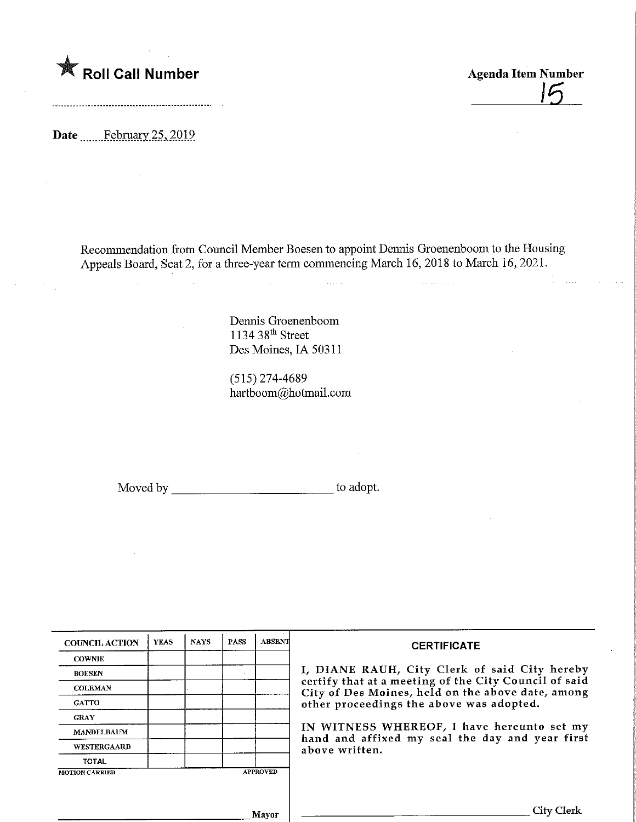

,6

Date February 25, 2019

Recommendation from Council Member Boesento appoint Dennis Groenenboom to the Housing Appeals Board, Seat 2, for a three-year term commencing March 16, 2018 to March 16, 2021.

> Dennis Groenenboom 1134 38th Street Des Moines, IA 50311

(515)274-4689 hartboom@hotmail.com

Moved by to adopt.

| <b>COUNCIL ACTION</b> | <b>YEAS</b> | <b>NAYS</b> | <b>PASS</b> | <b>ABSENT</b>   |
|-----------------------|-------------|-------------|-------------|-----------------|
| <b>COWNIE</b>         |             |             |             |                 |
| <b>BOESEN</b>         |             |             |             |                 |
| <b>COLEMAN</b>        |             |             |             |                 |
| <b>GATTO</b>          |             |             |             |                 |
| <b>GRAY</b>           |             |             |             |                 |
| <b>MANDELBAUM</b>     |             |             |             |                 |
| WESTERGAARD           |             |             |             |                 |
| <b>TOTAL</b>          |             |             |             |                 |
| <b>MOTION CARRIED</b> |             |             |             | <b>APPROVED</b> |

### **CERTIFICATE**

I, DIANE RAUH, City Clerk of said City hereby certify that at a meeting of the City Council of said City of Des Moines, held on the above date, among other proceedings the above was adopted.

IN WITNESS WHEREOF, I have hereunto set my hand and affixed my seal the day and year first above written.

Mayor

City Clerk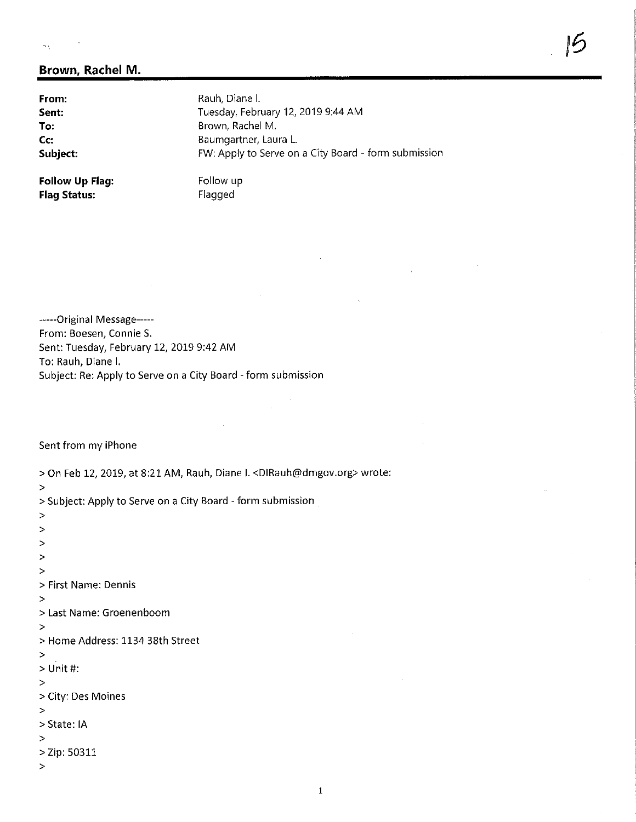### $\tilde{\mathcal{S}}_{\mathcal{A}}$  is

## Brown, Rachel M.

From: Rauh, Diane I.<br>
Sent: Tuesday, Febr Tuesday, February 12, 2019 9:44 AM **To:** Brown, Rachel M.<br> **Co:** Baumgartner, Lau Baumgartner, Laura L. **Subject:** FW: Apply to Serve on a City Board - form submission

**Follow Up Flag:** Follow up<br> **Flag Status:** Flagged **Flag Status:** 

-----Original Message-----From: Boesen, Connie S. Sent: Tuesday, February 12, 2019 9:42 AM To: Rauh, Diane I. Subject: Re: Apply to Serve on a City Board - form submission

Sent from my iPhone

>

>

> On Feb 12, 2019, at 8:21 AM/ Rauh, Djane I. <DIRauh@dmgov.org> wrote:

> Subject: Apply to Serve on a City Board - form submission

> > > > > First Name: Dennis > > Last Name: Groenenboom > > Home Address: 1134 38th Street > > Unit #: > > City; Des Moines > > State:IA > > Zip: 50311 >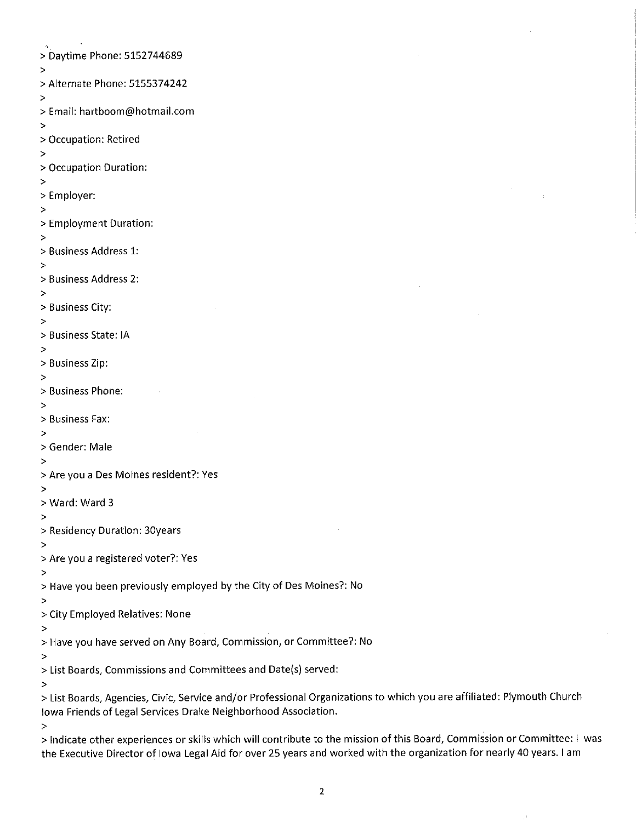> Daytime Phone: 5152744689 > > Alternate Phone: 5155374242 > > Email: hartboom@hotmail.com > > Occupation: Retired > > Occupation Duration: > > Employer: > > Employment Duration: > > Business Address 1: > > Business Address 2: > > Business City: > > Business State: tA > > Business Zip: > > Business Phone: > > Business Fax: > > Gender: Male > > Are you a Des Moines resident?: Yes > > Ward: Ward 3 > > Residency Duration: 30years > > Are you a registered voter?: Yes > > Have you been previously employed by the City of Des Moines?: No > > City Employed Relatives: None > > Have you have served on Any Board, Commission, or Committee?: No > > List Boards, Commissions and Committees and Date(s) served: > > List Boards, Agencies, Civic, Service and/or Professional Organizations to which you are affiliated: Plymouth Church iowa Friends of Legal Services Drake Neighborhood Association. >

> Indicate other experiences or skills which will contribute to the mission of this Board, Commission or Committee: I was the Executive Director of Iowa Legal Aid for over 25 years and worked with the organization for nearly 40 years. I am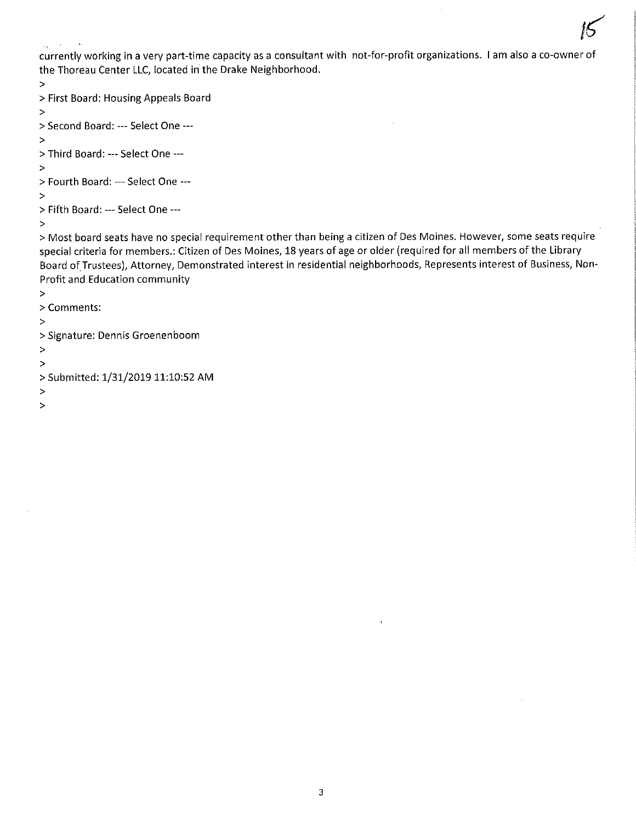$\mathcal{K}$ currently working in a very part-time capacity as a consultant with not-for-profit organizations. I am also a co-owner of the Thoreau Center LLC, located in the Drake Neighborhood.

```
>
```

```
> First Board: Housing Appeals Board
```
>

```
> Second Board: — Seiect One —
```
>

```
> Third Board: — Select One —
```
>

```
> Fourth Board: — Select One —
```
>

```
> Fifth Board: — Select One —
```
>

> Most board seats have no special requirement other than being a citizen of Des Moines. However, some seats require special criteria for members.: Citizen of Des Moines, 18 years of age or older (required for all members of the Library Board of Trustees), Attorney, Demonstrated interest in residential neighborhoods. Represents interest of Business, Non-Profit and Education community

- >
- > Comments:
- >
- > Signature: Dennis Groenenboom
- >
- >
- > Submitted: 1/31/2019 11:10:52 AM
- >
- >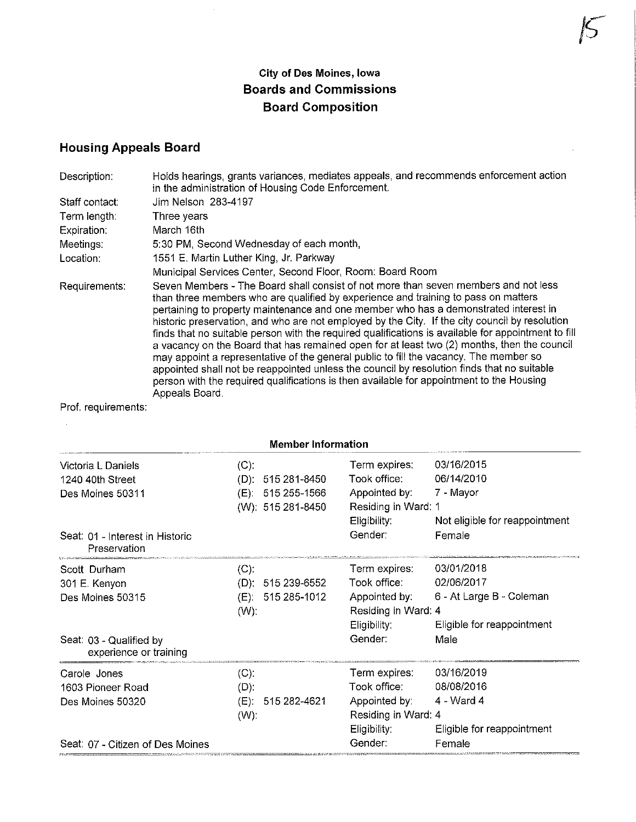# City of Des Moines, Iowa Boards and Commissions Board Composition

# Housing Appeals Board

| Description:   | Holds hearings, grants variances, mediates appeals, and recommends enforcement action<br>in the administration of Housing Code Enforcement.                                                                                                                                                                                                                                                                                                                                                                                                                                                                                                                                                                                                                                                                                                                                    |
|----------------|--------------------------------------------------------------------------------------------------------------------------------------------------------------------------------------------------------------------------------------------------------------------------------------------------------------------------------------------------------------------------------------------------------------------------------------------------------------------------------------------------------------------------------------------------------------------------------------------------------------------------------------------------------------------------------------------------------------------------------------------------------------------------------------------------------------------------------------------------------------------------------|
| Staff contact: | Jim Nelson 283-4197                                                                                                                                                                                                                                                                                                                                                                                                                                                                                                                                                                                                                                                                                                                                                                                                                                                            |
| Term length:   | Three years                                                                                                                                                                                                                                                                                                                                                                                                                                                                                                                                                                                                                                                                                                                                                                                                                                                                    |
| Expiration:    | March 16th                                                                                                                                                                                                                                                                                                                                                                                                                                                                                                                                                                                                                                                                                                                                                                                                                                                                     |
| Meetings:      | 5:30 PM, Second Wednesday of each month,                                                                                                                                                                                                                                                                                                                                                                                                                                                                                                                                                                                                                                                                                                                                                                                                                                       |
| Location:      | 1551 E. Martin Luther King, Jr. Parkway                                                                                                                                                                                                                                                                                                                                                                                                                                                                                                                                                                                                                                                                                                                                                                                                                                        |
|                | Municipal Services Center, Second Floor, Room: Board Room                                                                                                                                                                                                                                                                                                                                                                                                                                                                                                                                                                                                                                                                                                                                                                                                                      |
| Requirements:  | Seven Members - The Board shall consist of not more than seven members and not less<br>than three members who are qualified by experience and training to pass on matters<br>pertaining to property maintenance and one member who has a demonstrated interest in<br>historic preservation, and who are not employed by the City. If the city council by resolution<br>finds that no suitable person with the required qualifications is available for appointment to fill<br>a vacancy on the Board that has remained open for at least two (2) months, then the council<br>may appoint a representative of the general public to fill the vacancy. The member so<br>appointed shall not be reappointed unless the council by resolution finds that no suitable<br>person with the required qualifications is then available for appointment to the Housing<br>Appeals Board. |

Prof. requirements:

| <b>Member Information</b>                         |         |                   |                                     |                                |  |  |
|---------------------------------------------------|---------|-------------------|-------------------------------------|--------------------------------|--|--|
| Victoria L Daniels                                | $(C)$ : |                   | Term expires.                       | 03/16/2015                     |  |  |
| 1240 40th Street                                  | (D)     | 515 281-8450      | Took office:                        | 06/14/2010                     |  |  |
| Des Moines 50311                                  | (E).    | 515 255-1566      | Appointed by:                       | 7 - Mayor                      |  |  |
|                                                   |         | (W): 515 281-8450 | Residing in Ward: 1                 |                                |  |  |
|                                                   |         |                   | Eligibility:                        | Not eligible for reappointment |  |  |
| Seat: 01 - Interest in Historic<br>Preservation   |         |                   | Gender:                             | Female                         |  |  |
| Scott Durham                                      | (C).    |                   | Term expires:                       | 03/01/2018                     |  |  |
| 301 E. Kenyon                                     | $(D)$ : | 515 239-6552      | Took office:                        | 02/06/2017                     |  |  |
| Des Moines 50315                                  | (E).    | 515 285-1012      | Appointed by:                       | 6 - At Large B - Coleman       |  |  |
|                                                   | $(W)$ : |                   | Residing in Ward: 4<br>Eligibility: | Eligible for reappointment     |  |  |
| Seat: 03 - Qualified by<br>experience or training |         |                   | Gender:                             | Male                           |  |  |
| Carole Jones                                      | (C).    |                   | Term expires:                       | 03/16/2019                     |  |  |
| 1603 Pioneer Road                                 | (D)     |                   | Took office:                        | 08/08/2016                     |  |  |
| Des Moines 50320                                  | $(E)$ : | 515 282-4621      | Appointed by:                       | 4 - Ward 4                     |  |  |
|                                                   | $(W)$ : |                   | Residing in Ward: 4                 |                                |  |  |
|                                                   |         |                   | Eligibility:                        | Eligible for reappointment     |  |  |
| Seat: 07 - Citizen of Des Moines                  |         |                   | Gender:                             | Female                         |  |  |